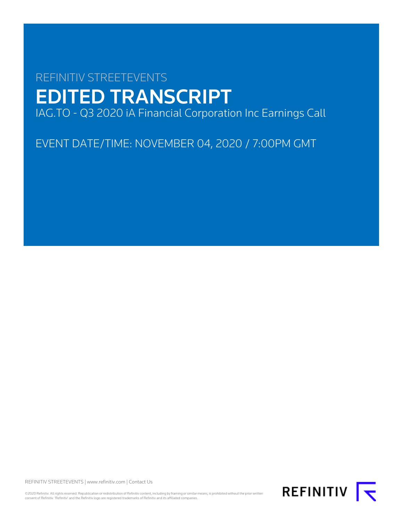# REFINITIV STREETEVENTS EDITED TRANSCRIPT IAG.TO - Q3 2020 iA Financial Corporation Inc Earnings Call

EVENT DATE/TIME: NOVEMBER 04, 2020 / 7:00PM GMT

REFINITIV STREETEVENTS | [www.refinitiv.com](https://www.refinitiv.com/) | [Contact Us](https://www.refinitiv.com/en/contact-us)

©2020 Refinitiv. All rights reserved. Republication or redistribution of Refinitiv content, including by framing or similar means, is prohibited without the prior written consent of Refinitiv. 'Refinitiv' and the Refinitiv logo are registered trademarks of Refinitiv and its affiliated companies.

REFINITIV **I**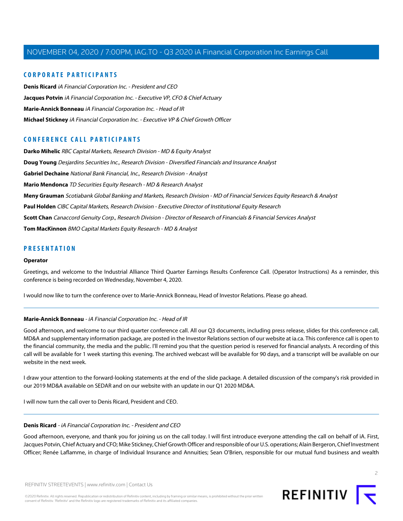#### **CORPORATE PARTICIPANTS**

**[Denis Ricard](#page-1-0)** iA Financial Corporation Inc. - President and CEO **[Jacques Potvin](#page-3-0)** iA Financial Corporation Inc. - Executive VP, CFO & Chief Actuary **[Marie-Annick Bonneau](#page-1-1)** iA Financial Corporation Inc. - Head of IR **[Michael Stickney](#page-2-0)** iA Financial Corporation Inc. - Executive VP & Chief Growth Officer

### **CONFERENCE CALL PARTICIPANTS**

**[Darko Mihelic](#page-13-0)** RBC Capital Markets, Research Division - MD & Equity Analyst **[Doug Young](#page-11-0)** Desjardins Securities Inc., Research Division - Diversified Financials and Insurance Analyst **[Gabriel Dechaine](#page-9-0)** National Bank Financial, Inc., Research Division - Analyst **[Mario Mendonca](#page-15-0)** TD Securities Equity Research - MD & Research Analyst **[Meny Grauman](#page-8-0)** Scotiabank Global Banking and Markets, Research Division - MD of Financial Services Equity Research & Analyst **[Paul Holden](#page-13-1)** CIBC Capital Markets, Research Division - Executive Director of Institutional Equity Research **[Scott Chan](#page-7-0)** Canaccord Genuity Corp., Research Division - Director of Research of Financials & Financial Services Analyst **[Tom MacKinnon](#page-5-0)** BMO Capital Markets Equity Research - MD & Analyst

#### **PRESENTATION**

#### **Operator**

Greetings, and welcome to the Industrial Alliance Third Quarter Earnings Results Conference Call. (Operator Instructions) As a reminder, this conference is being recorded on Wednesday, November 4, 2020.

<span id="page-1-1"></span>I would now like to turn the conference over to Marie-Annick Bonneau, Head of Investor Relations. Please go ahead.

#### **Marie-Annick Bonneau** - iA Financial Corporation Inc. - Head of IR

Good afternoon, and welcome to our third quarter conference call. All our Q3 documents, including press release, slides for this conference call, MD&A and supplementary information package, are posted in the Investor Relations section of our website at ia.ca. This conference call is open to the financial community, the media and the public. I'll remind you that the question period is reserved for financial analysts. A recording of this call will be available for 1 week starting this evening. The archived webcast will be available for 90 days, and a transcript will be available on our website in the next week.

<span id="page-1-0"></span>I draw your attention to the forward-looking statements at the end of the slide package. A detailed discussion of the company's risk provided in our 2019 MD&A available on SEDAR and on our website with an update in our Q1 2020 MD&A.

I will now turn the call over to Denis Ricard, President and CEO.

#### **Denis Ricard** - iA Financial Corporation Inc. - President and CEO

Good afternoon, everyone, and thank you for joining us on the call today. I will first introduce everyone attending the call on behalf of iA. First, Jacques Potvin, Chief Actuary and CFO; Mike Stickney, Chief Growth Officer and responsible of our U.S. operations; Alain Bergeron, Chief Investment Officer; Renée Laflamme, in charge of Individual Insurance and Annuities; Sean O'Brien, responsible for our mutual fund business and wealth

 $\overline{2}$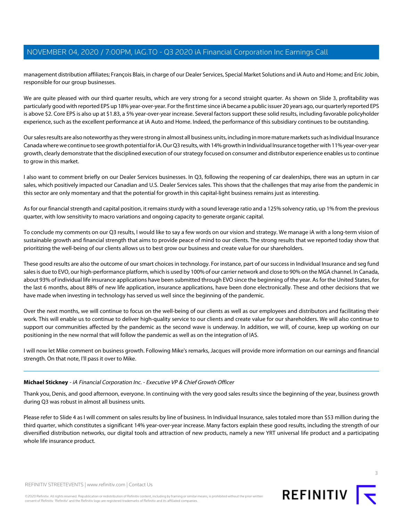management distribution affiliates; François Blais, in charge of our Dealer Services, Special Market Solutions and iA Auto and Home; and Eric Jobin, responsible for our group businesses.

We are quite pleased with our third quarter results, which are very strong for a second straight quarter. As shown on Slide 3, profitability was particularly good with reported EPS up 18% year-over-year. For the first time since iA became a public issuer 20 years ago, our quarterly reported EPS is above \$2. Core EPS is also up at \$1.83, a 5% year-over-year increase. Several factors support these solid results, including favorable policyholder experience, such as the excellent performance at iA Auto and Home. Indeed, the performance of this subsidiary continues to be outstanding.

Our sales results are also noteworthy as they were strong in almost all business units, including in more mature markets such as Individual Insurance Canada where we continue to see growth potential for iA. Our Q3 results, with 14% growth in Individual Insurance together with 11% year-over-year growth, clearly demonstrate that the disciplined execution of our strategy focused on consumer and distributor experience enables us to continue to grow in this market.

I also want to comment briefly on our Dealer Services businesses. In Q3, following the reopening of car dealerships, there was an upturn in car sales, which positively impacted our Canadian and U.S. Dealer Services sales. This shows that the challenges that may arise from the pandemic in this sector are only momentary and that the potential for growth in this capital-light business remains just as interesting.

As for our financial strength and capital position, it remains sturdy with a sound leverage ratio and a 125% solvency ratio, up 1% from the previous quarter, with low sensitivity to macro variations and ongoing capacity to generate organic capital.

To conclude my comments on our Q3 results, I would like to say a few words on our vision and strategy. We manage iA with a long-term vision of sustainable growth and financial strength that aims to provide peace of mind to our clients. The strong results that we reported today show that prioritizing the well-being of our clients allows us to best grow our business and create value for our shareholders.

These good results are also the outcome of our smart choices in technology. For instance, part of our success in Individual Insurance and seg fund sales is due to EVO, our high-performance platform, which is used by 100% of our carrier network and close to 90% on the MGA channel. In Canada, about 93% of individual life insurance applications have been submitted through EVO since the beginning of the year. As for the United States, for the last 6 months, about 88% of new life application, insurance applications, have been done electronically. These and other decisions that we have made when investing in technology has served us well since the beginning of the pandemic.

Over the next months, we will continue to focus on the well-being of our clients as well as our employees and distributors and facilitating their work. This will enable us to continue to deliver high-quality service to our clients and create value for our shareholders. We will also continue to support our communities affected by the pandemic as the second wave is underway. In addition, we will, of course, keep up working on our positioning in the new normal that will follow the pandemic as well as on the integration of IAS.

<span id="page-2-0"></span>I will now let Mike comment on business growth. Following Mike's remarks, Jacques will provide more information on our earnings and financial strength. On that note, I'll pass it over to Mike.

#### **Michael Stickney** - iA Financial Corporation Inc. - Executive VP & Chief Growth Officer

Thank you, Denis, and good afternoon, everyone. In continuing with the very good sales results since the beginning of the year, business growth during Q3 was robust in almost all business units.

Please refer to Slide 4 as I will comment on sales results by line of business. In Individual Insurance, sales totaled more than \$53 million during the third quarter, which constitutes a significant 14% year-over-year increase. Many factors explain these good results, including the strength of our diversified distribution networks, our digital tools and attraction of new products, namely a new YRT universal life product and a participating whole life insurance product.



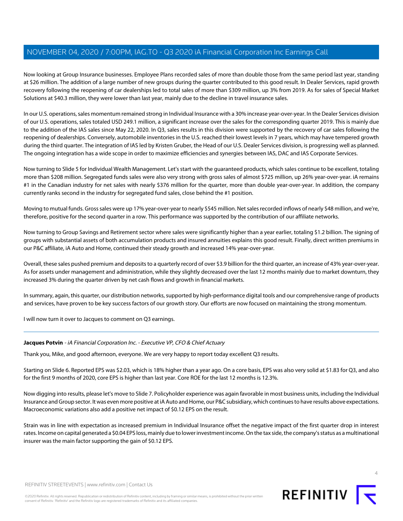Now looking at Group Insurance businesses. Employee Plans recorded sales of more than double those from the same period last year, standing at \$26 million. The addition of a large number of new groups during the quarter contributed to this good result. In Dealer Services, rapid growth recovery following the reopening of car dealerships led to total sales of more than \$309 million, up 3% from 2019. As for sales of Special Market Solutions at \$40.3 million, they were lower than last year, mainly due to the decline in travel insurance sales.

In our U.S. operations, sales momentum remained strong in Individual Insurance with a 30% increase year-over-year. In the Dealer Services division of our U.S. operations, sales totaled USD 249.1 million, a significant increase over the sales for the corresponding quarter 2019. This is mainly due to the addition of the IAS sales since May 22, 2020. In Q3, sales results in this division were supported by the recovery of car sales following the reopening of dealerships. Conversely, automobile inventories in the U.S. reached their lowest levels in 7 years, which may have tempered growth during the third quarter. The integration of IAS led by Kristen Gruber, the Head of our U.S. Dealer Services division, is progressing well as planned. The ongoing integration has a wide scope in order to maximize efficiencies and synergies between IAS, DAC and IAS Corporate Services.

Now turning to Slide 5 for Individual Wealth Management. Let's start with the guaranteed products, which sales continue to be excellent, totaling more than \$208 million. Segregated funds sales were also very strong with gross sales of almost \$725 million, up 26% year-over-year. iA remains #1 in the Canadian industry for net sales with nearly \$376 million for the quarter, more than double year-over-year. In addition, the company currently ranks second in the industry for segregated fund sales, close behind the #1 position.

Moving to mutual funds. Gross sales were up 17% year-over-year to nearly \$545 million. Net sales recorded inflows of nearly \$48 million, and we're, therefore, positive for the second quarter in a row. This performance was supported by the contribution of our affiliate networks.

Now turning to Group Savings and Retirement sector where sales were significantly higher than a year earlier, totaling \$1.2 billion. The signing of groups with substantial assets of both accumulation products and insured annuities explains this good result. Finally, direct written premiums in our P&C affiliate, iA Auto and Home, continued their steady growth and increased 14% year-over-year.

Overall, these sales pushed premium and deposits to a quarterly record of over \$3.9 billion for the third quarter, an increase of 43% year-over-year. As for assets under management and administration, while they slightly decreased over the last 12 months mainly due to market downturn, they increased 3% during the quarter driven by net cash flows and growth in financial markets.

In summary, again, this quarter, our distribution networks, supported by high-performance digital tools and our comprehensive range of products and services, have proven to be key success factors of our growth story. Our efforts are now focused on maintaining the strong momentum.

<span id="page-3-0"></span>I will now turn it over to Jacques to comment on Q3 earnings.

#### **Jacques Potvin** - iA Financial Corporation Inc. - Executive VP, CFO & Chief Actuary

Thank you, Mike, and good afternoon, everyone. We are very happy to report today excellent Q3 results.

Starting on Slide 6. Reported EPS was \$2.03, which is 18% higher than a year ago. On a core basis, EPS was also very solid at \$1.83 for Q3, and also for the first 9 months of 2020, core EPS is higher than last year. Core ROE for the last 12 months is 12.3%.

Now digging into results, please let's move to Slide 7. Policyholder experience was again favorable in most business units, including the Individual Insurance and Group sector. It was even more positive at iA Auto and Home, our P&C subsidiary, which continues to have results above expectations. Macroeconomic variations also add a positive net impact of \$0.12 EPS on the result.

Strain was in line with expectation as increased premium in Individual Insurance offset the negative impact of the first quarter drop in interest rates. Income on capital generated a \$0.04 EPS loss, mainly due to lower investment income. On the tax side, the company's status as a multinational insurer was the main factor supporting the gain of \$0.12 EPS.



 $\Lambda$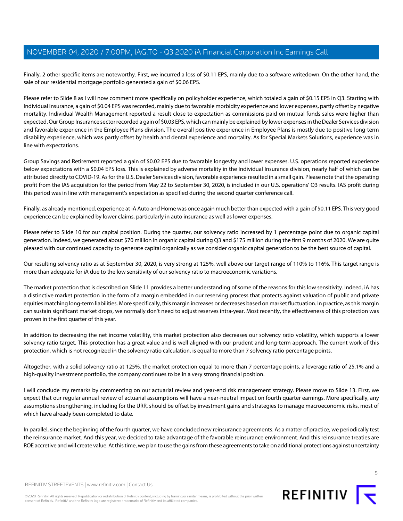Finally, 2 other specific items are noteworthy. First, we incurred a loss of \$0.11 EPS, mainly due to a software writedown. On the other hand, the sale of our residential mortgage portfolio generated a gain of \$0.06 EPS.

Please refer to Slide 8 as I will now comment more specifically on policyholder experience, which totaled a gain of \$0.15 EPS in Q3. Starting with Individual Insurance, a gain of \$0.04 EPS was recorded, mainly due to favorable morbidity experience and lower expenses, partly offset by negative mortality. Individual Wealth Management reported a result close to expectation as commissions paid on mutual funds sales were higher than expected. Our Group Insurance sector recorded a gain of \$0.03 EPS, which can mainly be explained by lower expenses in the Dealer Services division and favorable experience in the Employee Plans division. The overall positive experience in Employee Plans is mostly due to positive long-term disability experience, which was partly offset by health and dental experience and mortality. As for Special Markets Solutions, experience was in line with expectations.

Group Savings and Retirement reported a gain of \$0.02 EPS due to favorable longevity and lower expenses. U.S. operations reported experience below expectations with a \$0.04 EPS loss. This is explained by adverse mortality in the Individual Insurance division, nearly half of which can be attributed directly to COVID-19. As for the U.S. Dealer Services division, favorable experience resulted in a small gain. Please note that the operating profit from the IAS acquisition for the period from May 22 to September 30, 2020, is included in our U.S. operations' Q3 results. IAS profit during this period was in line with management's expectation as specified during the second quarter conference call.

Finally, as already mentioned, experience at iA Auto and Home was once again much better than expected with a gain of \$0.11 EPS. This very good experience can be explained by lower claims, particularly in auto insurance as well as lower expenses.

Please refer to Slide 10 for our capital position. During the quarter, our solvency ratio increased by 1 percentage point due to organic capital generation. Indeed, we generated about \$70 million in organic capital during Q3 and \$175 million during the first 9 months of 2020. We are quite pleased with our continued capacity to generate capital organically as we consider organic capital generation to be the best source of capital.

Our resulting solvency ratio as at September 30, 2020, is very strong at 125%, well above our target range of 110% to 116%. This target range is more than adequate for iA due to the low sensitivity of our solvency ratio to macroeconomic variations.

The market protection that is described on Slide 11 provides a better understanding of some of the reasons for this low sensitivity. Indeed, iA has a distinctive market protection in the form of a margin embedded in our reserving process that protects against valuation of public and private equities matching long-term liabilities. More specifically, this margin increases or decreases based on market fluctuation. In practice, as this margin can sustain significant market drops, we normally don't need to adjust reserves intra-year. Most recently, the effectiveness of this protection was proven in the first quarter of this year.

In addition to decreasing the net income volatility, this market protection also decreases our solvency ratio volatility, which supports a lower solvency ratio target. This protection has a great value and is well aligned with our prudent and long-term approach. The current work of this protection, which is not recognized in the solvency ratio calculation, is equal to more than 7 solvency ratio percentage points.

Altogether, with a solid solvency ratio at 125%, the market protection equal to more than 7 percentage points, a leverage ratio of 25.1% and a high-quality investment portfolio, the company continues to be in a very strong financial position.

I will conclude my remarks by commenting on our actuarial review and year-end risk management strategy. Please move to Slide 13. First, we expect that our regular annual review of actuarial assumptions will have a near-neutral impact on fourth quarter earnings. More specifically, any assumptions strengthening, including for the URR, should be offset by investment gains and strategies to manage macroeconomic risks, most of which have already been completed to date.

In parallel, since the beginning of the fourth quarter, we have concluded new reinsurance agreements. As a matter of practice, we periodically test the reinsurance market. And this year, we decided to take advantage of the favorable reinsurance environment. And this reinsurance treaties are ROE accretive and will create value. At this time, we plan to use the gains from these agreements to take on additional protections against uncertainty

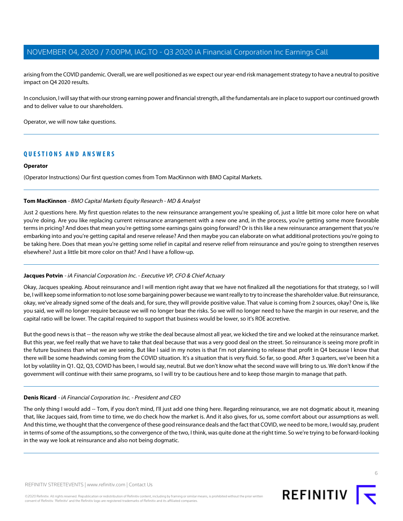arising from the COVID pandemic. Overall, we are well positioned as we expect our year-end risk management strategy to have a neutral to positive impact on Q4 2020 results.

In conclusion, I will say that with our strong earning power and financial strength, all the fundamentals are in place to support our continued growth and to deliver value to our shareholders.

Operator, we will now take questions.

#### **QUESTIONS AND ANSWERS**

#### **Operator**

<span id="page-5-0"></span>(Operator Instructions) Our first question comes from Tom MacKinnon with BMO Capital Markets.

#### **Tom MacKinnon** - BMO Capital Markets Equity Research - MD & Analyst

Just 2 questions here. My first question relates to the new reinsurance arrangement you're speaking of, just a little bit more color here on what you're doing. Are you like replacing current reinsurance arrangement with a new one and, in the process, you're getting some more favorable terms in pricing? And does that mean you're getting some earnings gains going forward? Or is this like a new reinsurance arrangement that you're embarking into and you're getting capital and reserve release? And then maybe you can elaborate on what additional protections you're going to be taking here. Does that mean you're getting some relief in capital and reserve relief from reinsurance and you're going to strengthen reserves elsewhere? Just a little bit more color on that? And I have a follow-up.

#### **Jacques Potvin** - iA Financial Corporation Inc. - Executive VP, CFO & Chief Actuary

Okay, Jacques speaking. About reinsurance and I will mention right away that we have not finalized all the negotiations for that strategy, so I will be, I will keep some information to not lose some bargaining power because we want really to try to increase the shareholder value. But reinsurance, okay, we've already signed some of the deals and, for sure, they will provide positive value. That value is coming from 2 sources, okay? One is, like you said, we will no longer require because we will no longer bear the risks. So we will no longer need to have the margin in our reserve, and the capital ratio will be lower. The capital required to support that business would be lower, so it's ROE accretive.

But the good news is that -- the reason why we strike the deal because almost all year, we kicked the tire and we looked at the reinsurance market. But this year, we feel really that we have to take that deal because that was a very good deal on the street. So reinsurance is seeing more profit in the future business than what we are seeing. But like I said in my notes is that I'm not planning to release that profit in Q4 because I know that there will be some headwinds coming from the COVID situation. It's a situation that is very fluid. So far, so good. After 3 quarters, we've been hit a lot by volatility in Q1. Q2, Q3, COVID has been, I would say, neutral. But we don't know what the second wave will bring to us. We don't know if the government will continue with their same programs, so I will try to be cautious here and to keep those margin to manage that path.

#### **Denis Ricard** - iA Financial Corporation Inc. - President and CEO

The only thing I would add -- Tom, if you don't mind, I'll just add one thing here. Regarding reinsurance, we are not dogmatic about it, meaning that, like Jacques said, from time to time, we do check how the market is. And it also gives, for us, some comfort about our assumptions as well. And this time, we thought that the convergence of these good reinsurance deals and the fact that COVID, we need to be more, I would say, prudent in terms of some of the assumptions, so the convergence of the two, I think, was quite done at the right time. So we're trying to be forward-looking in the way we look at reinsurance and also not being dogmatic.

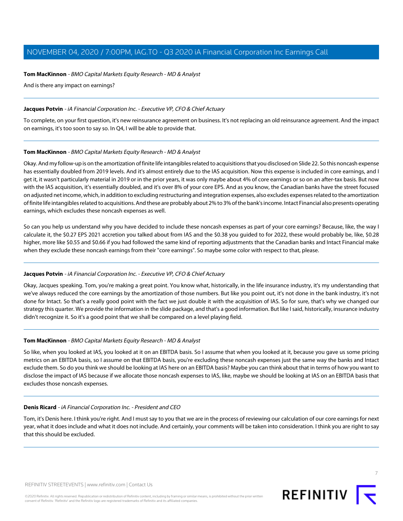#### **Tom MacKinnon** - BMO Capital Markets Equity Research - MD & Analyst

And is there any impact on earnings?

#### **Jacques Potvin** - iA Financial Corporation Inc. - Executive VP, CFO & Chief Actuary

To complete, on your first question, it's new reinsurance agreement on business. It's not replacing an old reinsurance agreement. And the impact on earnings, it's too soon to say so. In Q4, I will be able to provide that.

#### **Tom MacKinnon** - BMO Capital Markets Equity Research - MD & Analyst

Okay. And my follow-up is on the amortization of finite life intangibles related to acquisitions that you disclosed on Slide 22. So this noncash expense has essentially doubled from 2019 levels. And it's almost entirely due to the IAS acquisition. Now this expense is included in core earnings, and I get it, it wasn't particularly material in 2019 or in the prior years, it was only maybe about 4% of core earnings or so on an after-tax basis. But now with the IAS acquisition, it's essentially doubled, and it's over 8% of your core EPS. And as you know, the Canadian banks have the street focused on adjusted net income, which, in addition to excluding restructuring and integration expenses, also excludes expenses related to the amortization of finite life intangibles related to acquisitions. And these are probably about 2% to 3% of the bank's income. Intact Financial also presents operating earnings, which excludes these noncash expenses as well.

So can you help us understand why you have decided to include these noncash expenses as part of your core earnings? Because, like, the way I calculate it, the \$0.27 EPS 2021 accretion you talked about from IAS and the \$0.38 you guided to for 2022, these would probably be, like, \$0.28 higher, more like \$0.55 and \$0.66 if you had followed the same kind of reporting adjustments that the Canadian banks and Intact Financial make when they exclude these noncash earnings from their "core earnings". So maybe some color with respect to that, please.

#### **Jacques Potvin** - iA Financial Corporation Inc. - Executive VP, CFO & Chief Actuary

Okay, Jacques speaking. Tom, you're making a great point. You know what, historically, in the life insurance industry, it's my understanding that we've always reduced the core earnings by the amortization of those numbers. But like you point out, it's not done in the bank industry, it's not done for Intact. So that's a really good point with the fact we just double it with the acquisition of IAS. So for sure, that's why we changed our strategy this quarter. We provide the information in the slide package, and that's a good information. But like I said, historically, insurance industry didn't recognize it. So it's a good point that we shall be compared on a level playing field.

#### **Tom MacKinnon** - BMO Capital Markets Equity Research - MD & Analyst

So like, when you looked at IAS, you looked at it on an EBITDA basis. So I assume that when you looked at it, because you gave us some pricing metrics on an EBITDA basis, so I assume on that EBITDA basis, you're excluding these noncash expenses just the same way the banks and Intact exclude them. So do you think we should be looking at IAS here on an EBITDA basis? Maybe you can think about that in terms of how you want to disclose the impact of IAS because if we allocate those noncash expenses to IAS, like, maybe we should be looking at IAS on an EBITDA basis that excludes those noncash expenses.

#### **Denis Ricard** - iA Financial Corporation Inc. - President and CEO

Tom, it's Denis here. I think you're right. And I must say to you that we are in the process of reviewing our calculation of our core earnings for next year, what it does include and what it does not include. And certainly, your comments will be taken into consideration. I think you are right to say that this should be excluded.

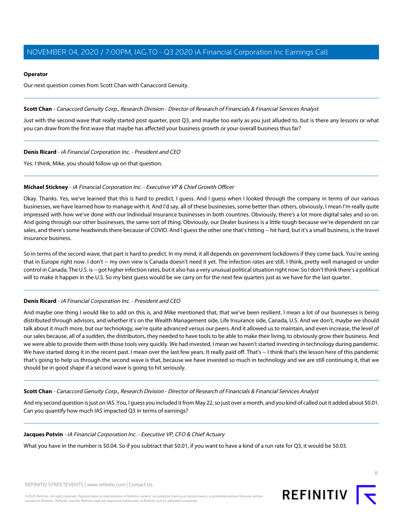#### **Operator**

Our next question comes from Scott Chan with Canaccord Genuity.

<span id="page-7-0"></span>**Scott Chan** - Canaccord Genuity Corp., Research Division - Director of Research of Financials & Financial Services Analyst

Just with the second wave that really started post quarter, post Q3, and maybe too early as you just alluded to, but is there any lessons or what you can draw from the first wave that maybe has affected your business growth or your overall business thus far?

**Denis Ricard** - iA Financial Corporation Inc. - President and CEO

Yes. I think, Mike, you should follow up on that question.

#### **Michael Stickney** - iA Financial Corporation Inc. - Executive VP & Chief Growth Officer

Okay. Thanks. Yes, we've learned that this is hard to predict, I guess. And I guess when I looked through the company in terms of our various businesses, we have learned how to manage with it. And I'd say, all of these businesses, some better than others, obviously, I mean I'm really quite impressed with how we've done with our Individual Insurance businesses in both countries. Obviously, there's a lot more digital sales and so on. And going through our other businesses, the same sort of thing. Obviously, our Dealer business is a little tough because we're dependent on car sales, and there's some headwinds there because of COVID. And I guess the other one that's hitting -- hit hard, but it's a small business, is the travel insurance business.

So in terms of the second wave, that part is hard to predict. In my mind, it all depends on government lockdowns if they come back. You're seeing that in Europe right now. I don't -- my own view is Canada doesn't need it yet. The infection rates are still, I think, pretty well managed or under control in Canada. The U.S. is -- got higher infection rates, but it also has a very unusual political situation right now. So I don't think there's a political will to make it happen in the U.S. So my best guess would be we carry on for the next few quarters just as we have for the last quarter.

#### **Denis Ricard** - iA Financial Corporation Inc. - President and CEO

And maybe one thing I would like to add on this is, and Mike mentioned that, that we've been resilient. I mean a lot of our businesses is being distributed through advisors, and whether it's on the Wealth Management side, Life Insurance side, Canada, U.S. And we don't, maybe we should talk about it much more, but our technology, we're quite advanced versus our peers. And it allowed us to maintain, and even increase, the level of our sales because, all of a sudden, the distributors, they needed to have tools to be able to make their living, to obviously grow their business. And we were able to provide them with those tools very quickly. We had invested, I mean we haven't started investing in technology during pandemic. We have started doing it in the recent past. I mean over the last few years. It really paid off. That's -- I think that's the lesson here of this pandemic that's going to help us through the second wave is that, because we have invested so much in technology and we are still continuing it, that we should be in good shape if a second wave is going to hit seriously.

**Scott Chan** - Canaccord Genuity Corp., Research Division - Director of Research of Financials & Financial Services Analyst

And my second question is just on IAS. You, I guess you included it from May 22, so just over a month, and you kind of called out it added about \$0.01. Can you quantify how much IAS impacted Q3 in terms of earnings?

**Jacques Potvin** - iA Financial Corporation Inc. - Executive VP, CFO & Chief Actuary

What you have in the number is \$0.04. So if you subtract that \$0.01, if you want to have a kind of a run rate for Q3, it would be \$0.03.

REFINITIV STREETEVENTS | [www.refinitiv.com](https://www.refinitiv.com/) | [Contact Us](https://www.refinitiv.com/en/contact-us)

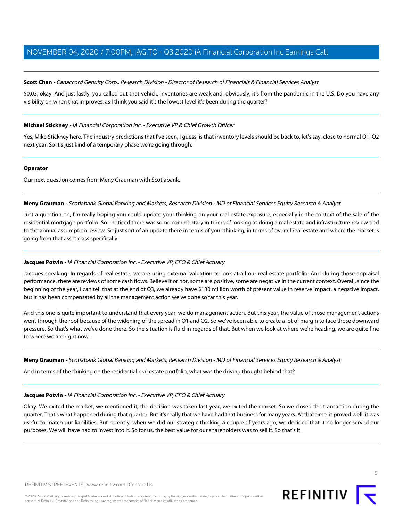#### **Scott Chan** - Canaccord Genuity Corp., Research Division - Director of Research of Financials & Financial Services Analyst

\$0.03, okay. And just lastly, you called out that vehicle inventories are weak and, obviously, it's from the pandemic in the U.S. Do you have any visibility on when that improves, as I think you said it's the lowest level it's been during the quarter?

#### **Michael Stickney** - iA Financial Corporation Inc. - Executive VP & Chief Growth Officer

Yes, Mike Stickney here. The industry predictions that I've seen, I guess, is that inventory levels should be back to, let's say, close to normal Q1, Q2 next year. So it's just kind of a temporary phase we're going through.

#### **Operator**

<span id="page-8-0"></span>Our next question comes from Meny Grauman with Scotiabank.

#### **Meny Grauman** - Scotiabank Global Banking and Markets, Research Division - MD of Financial Services Equity Research & Analyst

Just a question on, I'm really hoping you could update your thinking on your real estate exposure, especially in the context of the sale of the residential mortgage portfolio. So I noticed there was some commentary in terms of looking at doing a real estate and infrastructure review tied to the annual assumption review. So just sort of an update there in terms of your thinking, in terms of overall real estate and where the market is going from that asset class specifically.

#### **Jacques Potvin** - iA Financial Corporation Inc. - Executive VP, CFO & Chief Actuary

Jacques speaking. In regards of real estate, we are using external valuation to look at all our real estate portfolio. And during those appraisal performance, there are reviews of some cash flows. Believe it or not, some are positive, some are negative in the current context. Overall, since the beginning of the year, I can tell that at the end of Q3, we already have \$130 million worth of present value in reserve impact, a negative impact, but it has been compensated by all the management action we've done so far this year.

And this one is quite important to understand that every year, we do management action. But this year, the value of those management actions went through the roof because of the widening of the spread in Q1 and Q2. So we've been able to create a lot of margin to face those downward pressure. So that's what we've done there. So the situation is fluid in regards of that. But when we look at where we're heading, we are quite fine to where we are right now.

#### **Meny Grauman** - Scotiabank Global Banking and Markets, Research Division - MD of Financial Services Equity Research & Analyst

And in terms of the thinking on the residential real estate portfolio, what was the driving thought behind that?

#### **Jacques Potvin** - iA Financial Corporation Inc. - Executive VP, CFO & Chief Actuary

Okay. We exited the market, we mentioned it, the decision was taken last year, we exited the market. So we closed the transaction during the quarter. That's what happened during that quarter. But it's really that we have had that business for many years. At that time, it proved well, it was useful to match our liabilities. But recently, when we did our strategic thinking a couple of years ago, we decided that it no longer served our purposes. We will have had to invest into it. So for us, the best value for our shareholders was to sell it. So that's it.

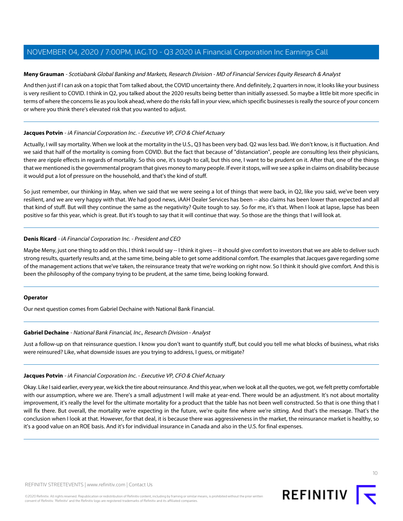#### **Meny Grauman** - Scotiabank Global Banking and Markets, Research Division - MD of Financial Services Equity Research & Analyst

And then just if I can ask on a topic that Tom talked about, the COVID uncertainty there. And definitely, 2 quarters in now, it looks like your business is very resilient to COVID. I think in Q2, you talked about the 2020 results being better than initially assessed. So maybe a little bit more specific in terms of where the concerns lie as you look ahead, where do the risks fall in your view, which specific businesses is really the source of your concern or where you think there's elevated risk that you wanted to adjust.

#### **Jacques Potvin** - iA Financial Corporation Inc. - Executive VP, CFO & Chief Actuary

Actually, I will say mortality. When we look at the mortality in the U.S., Q3 has been very bad. Q2 was less bad. We don't know, is it fluctuation. And we said that half of the mortality is coming from COVID. But the fact that because of "distanciation", people are consulting less their physicians, there are ripple effects in regards of mortality. So this one, it's tough to call, but this one, I want to be prudent on it. After that, one of the things that we mentioned is the governmental program that gives money to many people. If ever it stops, will we see a spike in claims on disability because it would put a lot of pressure on the household, and that's the kind of stuff.

So just remember, our thinking in May, when we said that we were seeing a lot of things that were back, in Q2, like you said, we've been very resilient, and we are very happy with that. We had good news, iAAH Dealer Services has been -- also claims has been lower than expected and all that kind of stuff. But will they continue the same as the negativity? Quite tough to say. So for me, it's that. When I look at lapse, lapse has been positive so far this year, which is great. But it's tough to say that it will continue that way. So those are the things that I will look at.

#### **Denis Ricard** - iA Financial Corporation Inc. - President and CEO

Maybe Meny, just one thing to add on this. I think I would say -- I think it gives -- it should give comfort to investors that we are able to deliver such strong results, quarterly results and, at the same time, being able to get some additional comfort. The examples that Jacques gave regarding some of the management actions that we've taken, the reinsurance treaty that we're working on right now. So I think it should give comfort. And this is been the philosophy of the company trying to be prudent, at the same time, being looking forward.

#### <span id="page-9-0"></span>**Operator**

Our next question comes from Gabriel Dechaine with National Bank Financial.

#### **Gabriel Dechaine** - National Bank Financial, Inc., Research Division - Analyst

Just a follow-up on that reinsurance question. I know you don't want to quantify stuff, but could you tell me what blocks of business, what risks were reinsured? Like, what downside issues are you trying to address, I guess, or mitigate?

#### **Jacques Potvin** - iA Financial Corporation Inc. - Executive VP, CFO & Chief Actuary

Okay. Like I said earlier, every year, we kick the tire about reinsurance. And this year, when we look at all the quotes, we got, we felt pretty comfortable with our assumption, where we are. There's a small adjustment I will make at year-end. There would be an adjustment. It's not about mortality improvement, it's really the level for the ultimate mortality for a product that the table has not been well constructed. So that is one thing that I will fix there. But overall, the mortality we're expecting in the future, we're quite fine where we're sitting. And that's the message. That's the conclusion when I look at that. However, for that deal, it is because there was aggressiveness in the market, the reinsurance market is healthy, so it's a good value on an ROE basis. And it's for individual insurance in Canada and also in the U.S. for final expenses.



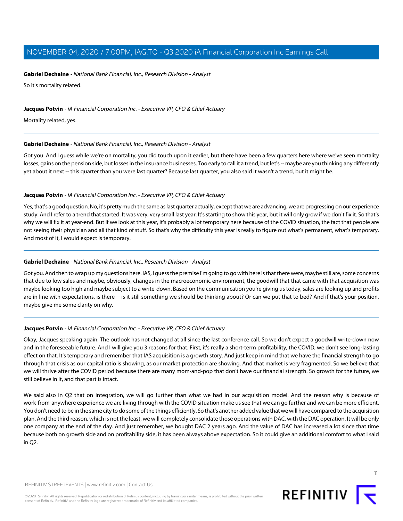#### **Gabriel Dechaine** - National Bank Financial, Inc., Research Division - Analyst

So it's mortality related.

#### **Jacques Potvin** - iA Financial Corporation Inc. - Executive VP, CFO & Chief Actuary

Mortality related, yes.

#### **Gabriel Dechaine** - National Bank Financial, Inc., Research Division - Analyst

Got you. And I guess while we're on mortality, you did touch upon it earlier, but there have been a few quarters here where we've seen mortality losses, gains on the pension side, but losses in the insurance businesses. Too early to call it a trend, but let's -- maybe are you thinking any differently yet about it next -- this quarter than you were last quarter? Because last quarter, you also said it wasn't a trend, but it might be.

#### **Jacques Potvin** - iA Financial Corporation Inc. - Executive VP, CFO & Chief Actuary

Yes, that's a good question. No, it's pretty much the same as last quarter actually, except that we are advancing, we are progressing on our experience study. And I refer to a trend that started. It was very, very small last year. It's starting to show this year, but it will only grow if we don't fix it. So that's why we will fix it at year-end. But if we look at this year, it's probably a lot temporary here because of the COVID situation, the fact that people are not seeing their physician and all that kind of stuff. So that's why the difficulty this year is really to figure out what's permanent, what's temporary. And most of it, I would expect is temporary.

#### **Gabriel Dechaine** - National Bank Financial, Inc., Research Division - Analyst

Got you. And then to wrap up my questions here. IAS, I guess the premise I'm going to go with here is that there were, maybe still are, some concerns that due to low sales and maybe, obviously, changes in the macroeconomic environment, the goodwill that that came with that acquisition was maybe looking too high and maybe subject to a write-down. Based on the communication you're giving us today, sales are looking up and profits are in line with expectations, is there -- is it still something we should be thinking about? Or can we put that to bed? And if that's your position, maybe give me some clarity on why.

#### **Jacques Potvin** - iA Financial Corporation Inc. - Executive VP, CFO & Chief Actuary

Okay, Jacques speaking again. The outlook has not changed at all since the last conference call. So we don't expect a goodwill write-down now and in the foreseeable future. And I will give you 3 reasons for that. First, it's really a short-term profitability, the COVID, we don't see long-lasting effect on that. It's temporary and remember that IAS acquisition is a growth story. And just keep in mind that we have the financial strength to go through that crisis as our capital ratio is showing, as our market protection are showing. And that market is very fragmented. So we believe that we will thrive after the COVID period because there are many mom-and-pop that don't have our financial strength. So growth for the future, we still believe in it, and that part is intact.

We said also in Q2 that on integration, we will go further than what we had in our acquisition model. And the reason why is because of work-from-anywhere experience we are living through with the COVID situation make us see that we can go further and we can be more efficient. You don't need to be in the same city to do some of the things efficiently. So that's another added value that we will have compared to the acquisition plan. And the third reason, which is not the least, we will completely consolidate those operations with DAC, with the DAC operation. It will be only one company at the end of the day. And just remember, we bought DAC 2 years ago. And the value of DAC has increased a lot since that time because both on growth side and on profitability side, it has been always above expectation. So it could give an additional comfort to what I said in Q2.

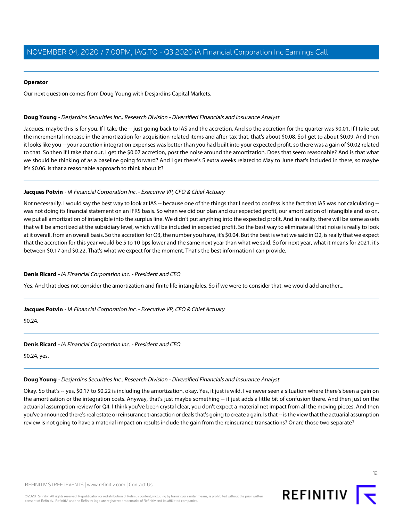#### **Operator**

Our next question comes from Doug Young with Desjardins Capital Markets.

#### <span id="page-11-0"></span>**Doug Young** - Desjardins Securities Inc., Research Division - Diversified Financials and Insurance Analyst

Jacques, maybe this is for you. If I take the -- just going back to IAS and the accretion. And so the accretion for the quarter was \$0.01. If I take out the incremental increase in the amortization for acquisition-related items and after-tax that, that's about \$0.08. So I get to about \$0.09. And then it looks like you -- your accretion integration expenses was better than you had built into your expected profit, so there was a gain of \$0.02 related to that. So then if I take that out, I get the \$0.07 accretion, post the noise around the amortization. Does that seem reasonable? And is that what we should be thinking of as a baseline going forward? And I get there's 5 extra weeks related to May to June that's included in there, so maybe it's \$0.06. Is that a reasonable approach to think about it?

#### **Jacques Potvin** - iA Financial Corporation Inc. - Executive VP, CFO & Chief Actuary

Not necessarily. I would say the best way to look at IAS -- because one of the things that I need to confess is the fact that IAS was not calculating -was not doing its financial statement on an IFRS basis. So when we did our plan and our expected profit, our amortization of intangible and so on, we put all amortization of intangible into the surplus line. We didn't put anything into the expected profit. And in reality, there will be some assets that will be amortized at the subsidiary level, which will be included in expected profit. So the best way to eliminate all that noise is really to look at it overall, from an overall basis. So the accretion for Q3, the number you have, it's \$0.04. But the best is what we said in Q2, is really that we expect that the accretion for this year would be 5 to 10 bps lower and the same next year than what we said. So for next year, what it means for 2021, it's between \$0.17 and \$0.22. That's what we expect for the moment. That's the best information I can provide.

#### **Denis Ricard** - iA Financial Corporation Inc. - President and CEO

Yes. And that does not consider the amortization and finite life intangibles. So if we were to consider that, we would add another...

#### **Jacques Potvin** - iA Financial Corporation Inc. - Executive VP, CFO & Chief Actuary

\$0.24.

#### **Denis Ricard** - iA Financial Corporation Inc. - President and CEO

\$0.24, yes.

### **Doug Young** - Desjardins Securities Inc., Research Division - Diversified Financials and Insurance Analyst

Okay. So that's -- yes, \$0.17 to \$0.22 is including the amortization, okay. Yes, it just is wild. I've never seen a situation where there's been a gain on the amortization or the integration costs. Anyway, that's just maybe something -- it just adds a little bit of confusion there. And then just on the actuarial assumption review for Q4, I think you've been crystal clear, you don't expect a material net impact from all the moving pieces. And then you've announced there's real estate or reinsurance transaction or deals that's going to create a gain. Is that -- is the view that the actuarial assumption review is not going to have a material impact on results include the gain from the reinsurance transactions? Or are those two separate?

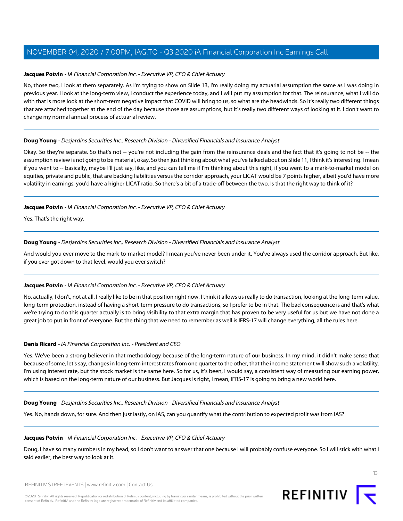#### **Jacques Potvin** - iA Financial Corporation Inc. - Executive VP, CFO & Chief Actuary

No, those two, I look at them separately. As I'm trying to show on Slide 13, I'm really doing my actuarial assumption the same as I was doing in previous year. I look at the long-term view, I conduct the experience today, and I will put my assumption for that. The reinsurance, what I will do with that is more look at the short-term negative impact that COVID will bring to us, so what are the headwinds. So it's really two different things that are attached together at the end of the day because those are assumptions, but it's really two different ways of looking at it. I don't want to change my normal annual process of actuarial review.

#### **Doug Young** - Desjardins Securities Inc., Research Division - Diversified Financials and Insurance Analyst

Okay. So they're separate. So that's not -- you're not including the gain from the reinsurance deals and the fact that it's going to not be -- the assumption review is not going to be material, okay. So then just thinking about what you've talked about on Slide 11, I think it's interesting. I mean if you went to -- basically, maybe I'll just say, like, and you can tell me if I'm thinking about this right, if you went to a mark-to-market model on equities, private and public, that are backing liabilities versus the corridor approach, your LICAT would be 7 points higher, albeit you'd have more volatility in earnings, you'd have a higher LICAT ratio. So there's a bit of a trade-off between the two. Is that the right way to think of it?

#### **Jacques Potvin** - iA Financial Corporation Inc. - Executive VP, CFO & Chief Actuary

Yes. That's the right way.

#### **Doug Young** - Desjardins Securities Inc., Research Division - Diversified Financials and Insurance Analyst

And would you ever move to the mark-to-market model? I mean you've never been under it. You've always used the corridor approach. But like, if you ever got down to that level, would you ever switch?

#### **Jacques Potvin** - iA Financial Corporation Inc. - Executive VP, CFO & Chief Actuary

No, actually, I don't, not at all. I really like to be in that position right now. I think it allows us really to do transaction, looking at the long-term value, long-term protection, instead of having a short-term pressure to do transactions, so I prefer to be in that. The bad consequence is and that's what we're trying to do this quarter actually is to bring visibility to that extra margin that has proven to be very useful for us but we have not done a great job to put in front of everyone. But the thing that we need to remember as well is IFRS-17 will change everything, all the rules here.

#### **Denis Ricard** - iA Financial Corporation Inc. - President and CEO

Yes. We've been a strong believer in that methodology because of the long-term nature of our business. In my mind, it didn't make sense that because of some, let's say, changes in long-term interest rates from one quarter to the other, that the income statement will show such a volatility. I'm using interest rate, but the stock market is the same here. So for us, it's been, I would say, a consistent way of measuring our earning power, which is based on the long-term nature of our business. But Jacques is right, I mean, IFRS-17 is going to bring a new world here.

#### **Doug Young** - Desjardins Securities Inc., Research Division - Diversified Financials and Insurance Analyst

Yes. No, hands down, for sure. And then just lastly, on IAS, can you quantify what the contribution to expected profit was from IAS?

#### **Jacques Potvin** - iA Financial Corporation Inc. - Executive VP, CFO & Chief Actuary

Doug, I have so many numbers in my head, so I don't want to answer that one because I will probably confuse everyone. So I will stick with what I said earlier, the best way to look at it.

REFINITIV STREETEVENTS | [www.refinitiv.com](https://www.refinitiv.com/) | [Contact Us](https://www.refinitiv.com/en/contact-us)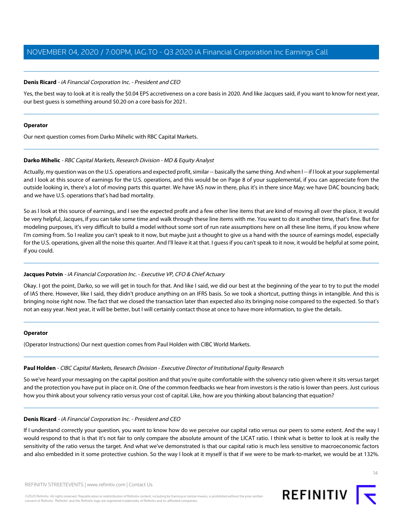#### **Denis Ricard** - iA Financial Corporation Inc. - President and CEO

Yes, the best way to look at it is really the \$0.04 EPS accretiveness on a core basis in 2020. And like Jacques said, if you want to know for next year, our best guess is something around \$0.20 on a core basis for 2021.

#### **Operator**

<span id="page-13-0"></span>Our next question comes from Darko Mihelic with RBC Capital Markets.

#### **Darko Mihelic** - RBC Capital Markets, Research Division - MD & Equity Analyst

Actually, my question was on the U.S. operations and expected profit, similar -- basically the same thing. And when I-- if I look at your supplemental and I look at this source of earnings for the U.S. operations, and this would be on Page 8 of your supplemental, if you can appreciate from the outside looking in, there's a lot of moving parts this quarter. We have IAS now in there, plus it's in there since May; we have DAC bouncing back; and we have U.S. operations that's had bad mortality.

So as I look at this source of earnings, and I see the expected profit and a few other line items that are kind of moving all over the place, it would be very helpful, Jacques, if you can take some time and walk through these line items with me. You want to do it another time, that's fine. But for modeling purposes, it's very difficult to build a model without some sort of run rate assumptions here on all these line items, if you know where I'm coming from. So I realize you can't speak to it now, but maybe just a thought to give us a hand with the source of earnings model, especially for the U.S. operations, given all the noise this quarter. And I'll leave it at that. I guess if you can't speak to it now, it would be helpful at some point, if you could.

#### **Jacques Potvin** - iA Financial Corporation Inc. - Executive VP, CFO & Chief Actuary

Okay. I got the point, Darko, so we will get in touch for that. And like I said, we did our best at the beginning of the year to try to put the model of IAS there. However, like I said, they didn't produce anything on an IFRS basis. So we took a shortcut, putting things in intangible. And this is bringing noise right now. The fact that we closed the transaction later than expected also its bringing noise compared to the expected. So that's not an easy year. Next year, it will be better, but I will certainly contact those at once to have more information, to give the details.

#### <span id="page-13-1"></span>**Operator**

(Operator Instructions) Our next question comes from Paul Holden with CIBC World Markets.

#### **Paul Holden** - CIBC Capital Markets, Research Division - Executive Director of Institutional Equity Research

So we've heard your messaging on the capital position and that you're quite comfortable with the solvency ratio given where it sits versus target and the protection you have put in place on it. One of the common feedbacks we hear from investors is the ratio is lower than peers. Just curious how you think about your solvency ratio versus your cost of capital. Like, how are you thinking about balancing that equation?

#### **Denis Ricard** - iA Financial Corporation Inc. - President and CEO

If I understand correctly your question, you want to know how do we perceive our capital ratio versus our peers to some extent. And the way I would respond to that is that it's not fair to only compare the absolute amount of the LICAT ratio. I think what is better to look at is really the sensitivity of the ratio versus the target. And what we've demonstrated is that our capital ratio is much less sensitive to macroeconomic factors and also embedded in it some protective cushion. So the way I look at it myself is that if we were to be mark-to-market, we would be at 132%.

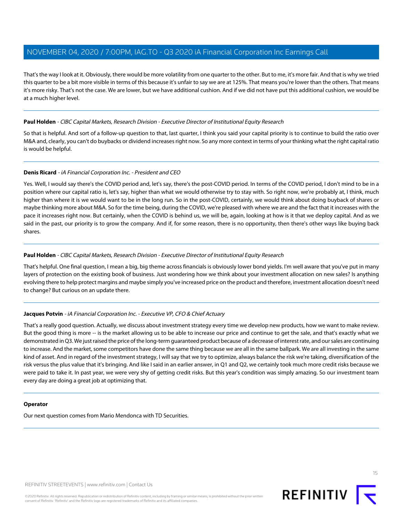That's the way I look at it. Obviously, there would be more volatility from one quarter to the other. But to me, it's more fair. And that is why we tried this quarter to be a bit more visible in terms of this because it's unfair to say we are at 125%. That means you're lower than the others. That means it's more risky. That's not the case. We are lower, but we have additional cushion. And if we did not have put this additional cushion, we would be at a much higher level.

#### **Paul Holden** - CIBC Capital Markets, Research Division - Executive Director of Institutional Equity Research

So that is helpful. And sort of a follow-up question to that, last quarter, I think you said your capital priority is to continue to build the ratio over M&A and, clearly, you can't do buybacks or dividend increases right now. So any more context in terms of your thinking what the right capital ratio is would be helpful.

#### **Denis Ricard** - iA Financial Corporation Inc. - President and CEO

Yes. Well, I would say there's the COVID period and, let's say, there's the post-COVID period. In terms of the COVID period, I don't mind to be in a position where our capital ratio is, let's say, higher than what we would otherwise try to stay with. So right now, we're probably at, I think, much higher than where it is we would want to be in the long run. So in the post-COVID, certainly, we would think about doing buyback of shares or maybe thinking more about M&A. So for the time being, during the COVID, we're pleased with where we are and the fact that it increases with the pace it increases right now. But certainly, when the COVID is behind us, we will be, again, looking at how is it that we deploy capital. And as we said in the past, our priority is to grow the company. And if, for some reason, there is no opportunity, then there's other ways like buying back shares.

#### **Paul Holden** - CIBC Capital Markets, Research Division - Executive Director of Institutional Equity Research

That's helpful. One final question, I mean a big, big theme across financials is obviously lower bond yields. I'm well aware that you've put in many layers of protection on the existing book of business. Just wondering how we think about your investment allocation on new sales? Is anything evolving there to help protect margins and maybe simply you've increased price on the product and therefore, investment allocation doesn't need to change? But curious on an update there.

#### **Jacques Potvin** - iA Financial Corporation Inc. - Executive VP, CFO & Chief Actuary

That's a really good question. Actually, we discuss about investment strategy every time we develop new products, how we want to make review. But the good thing is more -- is the market allowing us to be able to increase our price and continue to get the sale, and that's exactly what we demonstrated in Q3. We just raised the price of the long-term guaranteed product because of a decrease of interest rate, and our sales are continuing to increase. And the market, some competitors have done the same thing because we are all in the same ballpark. We are all investing in the same kind of asset. And in regard of the investment strategy, I will say that we try to optimize, always balance the risk we're taking, diversification of the risk versus the plus value that it's bringing. And like I said in an earlier answer, in Q1 and Q2, we certainly took much more credit risks because we were paid to take it. In past year, we were very shy of getting credit risks. But this year's condition was simply amazing. So our investment team every day are doing a great job at optimizing that.

#### **Operator**

Our next question comes from Mario Mendonca with TD Securities.

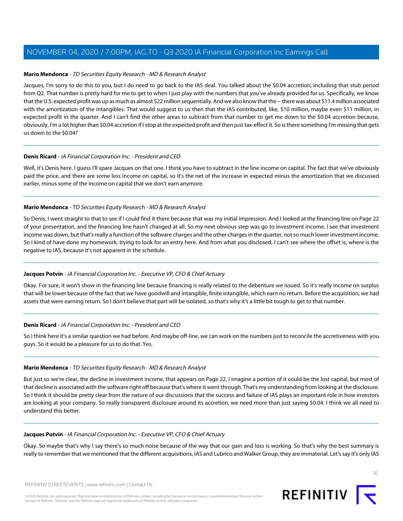#### <span id="page-15-0"></span>**Mario Mendonca** - TD Securities Equity Research - MD & Research Analyst

Jacques, I'm sorry to do this to you, but I do need to go back to the IAS deal. You talked about the \$0.04 accretion, including that stub period from Q2. That number is pretty hard for me to get to when I just play with the numbers that you've already provided for us. Specifically, we know that the U.S. expected profit was up as much as almost \$22 million sequentially. And we also know that the -- there was about \$11.4 million associated with the amortization of the intangibles. That would suggest to us then that the IAS contributed, like, \$10 million, maybe even \$11 million, in expected profit in the quarter. And I can't find the other areas to subtract from that number to get me down to the \$0.04 accretion because, obviously, I'm a lot higher than \$0.04 accretion if I stop at the expected profit and then just tax-effect it. So is there something I'm missing that gets us down to the \$0.04?

#### **Denis Ricard** - iA Financial Corporation Inc. - President and CEO

Well, it's Denis here. I guess I'll spare Jacques on that one. I think you have to subtract in the line income on capital. The fact that we've obviously paid the price, and there are some less income on capital, so it's the net of the increase in expected minus the amortization that we discussed earlier, minus some of the income on capital that we don't earn anymore.

#### **Mario Mendonca** - TD Securities Equity Research - MD & Research Analyst

So Denis, I went straight to that to see if I could find it there because that was my initial impression. And I looked at the financing line on Page 22 of your presentation, and the financing line hasn't changed at all. So my next obvious step was go to investment income. I see that investment income was down, but that's really a function of the software charges and the other charges in the quarter, not so much lower investment income. So I kind of have done my homework, trying to look for an entry here. And from what you disclosed, I can't see where the offset is, where is the negative to IAS, because it's not apparent in the schedule.

#### **Jacques Potvin** - iA Financial Corporation Inc. - Executive VP, CFO & Chief Actuary

Okay. For sure, it won't show in the financing line because financing is really related to the debenture we issued. So it's really income on surplus that will be lower because of the fact that we have goodwill and intangible, finite intangible, which earn no return. Before the acquisition, we had assets that were earning return. So I don't believe that part will be isolated, so that's why it's a little bit tough to get to that number.

#### **Denis Ricard** - iA Financial Corporation Inc. - President and CEO

So I think here it's a similar question we had before. And maybe off-line, we can work on the numbers just to reconcile the accretiveness with you guys. So it would be a pleasure for us to do that. Yes.

#### **Mario Mendonca** - TD Securities Equity Research - MD & Research Analyst

But just so we're clear, the decline in investment income, that appears on Page 22, I imagine a portion of it could be the lost capital, but most of that decline is associated with the software right off because that's where it went through. That's my understanding from looking at the disclosure. So I think it should be pretty clear from the nature of our discussions that the success and failure of IAS plays an important role in how investors are looking at your company. So really transparent disclosure around its accretion, we need more than just saying \$0.04. I think we all need to understand this better.

#### **Jacques Potvin** - iA Financial Corporation Inc. - Executive VP, CFO & Chief Actuary

Okay. So maybe that's why I say there's so much noise because of the way that our gain and loss is working. So that's why the best summary is really to remember that we mentioned that the different acquisitions, IAS and Lubrico and Walker Group, they are immaterial. Let's say it's only IAS

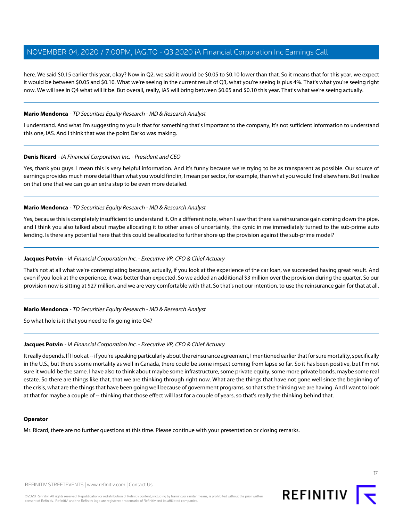here. We said \$0.15 earlier this year, okay? Now in Q2, we said it would be \$0.05 to \$0.10 lower than that. So it means that for this year, we expect it would be between \$0.05 and \$0.10. What we're seeing in the current result of Q3, what you're seeing is plus 4%. That's what you're seeing right now. We will see in Q4 what will it be. But overall, really, IAS will bring between \$0.05 and \$0.10 this year. That's what we're seeing actually.

#### **Mario Mendonca** - TD Securities Equity Research - MD & Research Analyst

I understand. And what I'm suggesting to you is that for something that's important to the company, it's not sufficient information to understand this one, IAS. And I think that was the point Darko was making.

#### **Denis Ricard** - iA Financial Corporation Inc. - President and CEO

Yes, thank you guys. I mean this is very helpful information. And it's funny because we're trying to be as transparent as possible. Our source of earnings provides much more detail than what you would find in, I mean per sector, for example, than what you would find elsewhere. But I realize on that one that we can go an extra step to be even more detailed.

#### **Mario Mendonca** - TD Securities Equity Research - MD & Research Analyst

Yes, because this is completely insufficient to understand it. On a different note, when I saw that there's a reinsurance gain coming down the pipe, and I think you also talked about maybe allocating it to other areas of uncertainty, the cynic in me immediately turned to the sub-prime auto lending. Is there any potential here that this could be allocated to further shore up the provision against the sub-prime model?

#### **Jacques Potvin** - iA Financial Corporation Inc. - Executive VP, CFO & Chief Actuary

That's not at all what we're contemplating because, actually, if you look at the experience of the car loan, we succeeded having great result. And even if you look at the experience, it was better than expected. So we added an additional \$3 million over the provision during the quarter. So our provision now is sitting at \$27 million, and we are very comfortable with that. So that's not our intention, to use the reinsurance gain for that at all.

#### **Mario Mendonca** - TD Securities Equity Research - MD & Research Analyst

So what hole is it that you need to fix going into Q4?

#### **Jacques Potvin** - iA Financial Corporation Inc. - Executive VP, CFO & Chief Actuary

It really depends. If I look at -- if you're speaking particularly about the reinsurance agreement, I mentioned earlier that for sure mortality, specifically in the U.S., but there's some mortality as well in Canada, there could be some impact coming from lapse so far. So it has been positive, but I'm not sure it would be the same. I have also to think about maybe some infrastructure, some private equity, some more private bonds, maybe some real estate. So there are things like that, that we are thinking through right now. What are the things that have not gone well since the beginning of the crisis, what are the things that have been going well because of government programs, so that's the thinking we are having. And I want to look at that for maybe a couple of -- thinking that those effect will last for a couple of years, so that's really the thinking behind that.

#### **Operator**

Mr. Ricard, there are no further questions at this time. Please continue with your presentation or closing remarks.